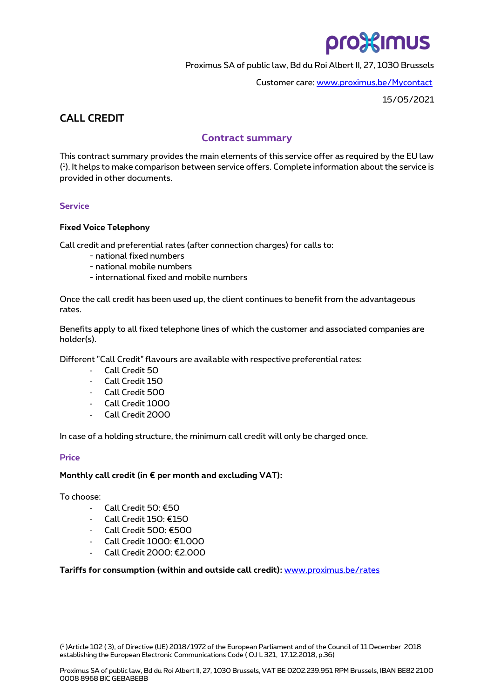# pro%imus

Proximus SA of public law, Bd du Roi Albert II, 27, 1030 Brussels

Customer care: [www.proximus.be/Mycontact](http://www.proximus.be/Mycontact)

15/05/2021

# **CALL CREDIT**

# **Contract summary**

This contract summary provides the main elements of this service offer as required by the EU law ( 1 ). It helps to make comparison between service offers. Complete information about the service is provided in other documents.

# **Service**

## **Fixed Voice Telephony**

Call credit and preferential rates (after connection charges) for calls to:

- national fixed numbers
- national mobile numbers
- international fixed and mobile numbers

Once the call credit has been used up, the client continues to benefit from the advantageous rates.

Benefits apply to all fixed telephone lines of which the customer and associated companies are holder(s).

Different "Call Credit" flavours are available with respective preferential rates:

- Call Credit 50
- Call Credit 150
- Call Credit 500
- Call Credit 1000
- Call Credit 2000

In case of a holding structure, the minimum call credit will only be charged once.

# **Price**

### **Monthly call credit (in € per month and excluding VAT):**

To choose:

- Call Credit 50: €50
- Call Credit 150: €150
- Call Credit 500: €500
- Call Credit 1000: €1.000
- Call Credit 2000: €2.000

**Tariffs for consumption (within and outside call credit):** [www.proximus.be/rates](http://www.proximus.be/rates)

( 1 )Article 102 ( 3), of Directive (UE) 2018/1972 of the European Parliament and of the Council of 11 December 2018 establishing the European Electronic Communications Code ( OJ L 321, 17.12.2018, p.36)